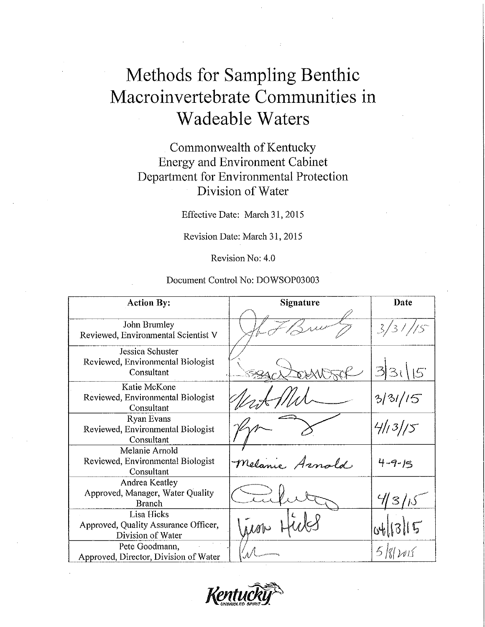# Methods for Sampling Benthic Macroinvertebrate Communities in **Wadeable Waters**

Commonwealth of Kentucky **Energy and Environment Cabinet** Department for Environmental Protection Division of Water

Effective Date: March 31, 2015

Revision Date: March 31, 2015

Revision No: 4.0

#### Document Control No: DOWSOP03003

| <b>Action By:</b>                                                       | Signature      | Date         |
|-------------------------------------------------------------------------|----------------|--------------|
| John Brumley<br>Reviewed, Environmental Scientist V                     |                | 3/3/         |
| Jessica Schuster<br>Reviewed, Environmental Biologist<br>Consultant     |                | 33115        |
| Katie McKone<br>Reviewed, Environmental Biologist<br>Consultant         |                | 3/31/15      |
| <b>Ryan Evans</b><br>Reviewed, Environmental Biologist<br>Consultant    |                | 4/13/15      |
| Melanie Arnold<br>Reviewed, Environmental Biologist<br>Consultant       | Melanie Arnold | $4 - 9 - 15$ |
| Andrea Keatley<br>Approved, Manager, Water Quality<br><b>Branch</b>     |                | 4/3          |
| Lisa Hicks<br>Approved, Quality Assurance Officer,<br>Division of Water |                |              |
| Pete Goodmann,<br>Approved, Director, Division of Water                 |                |              |

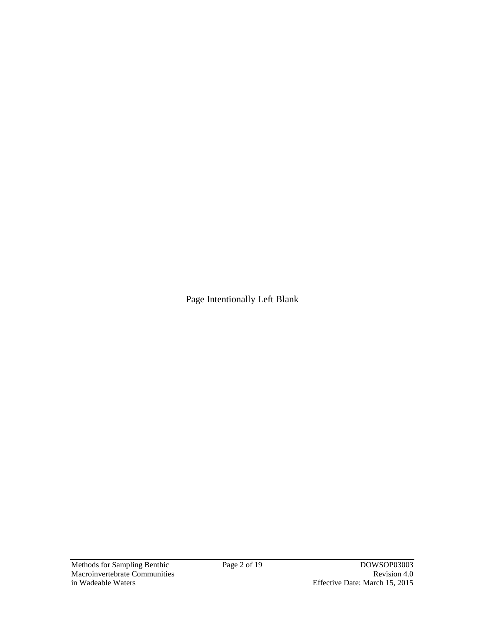Page Intentionally Left Blank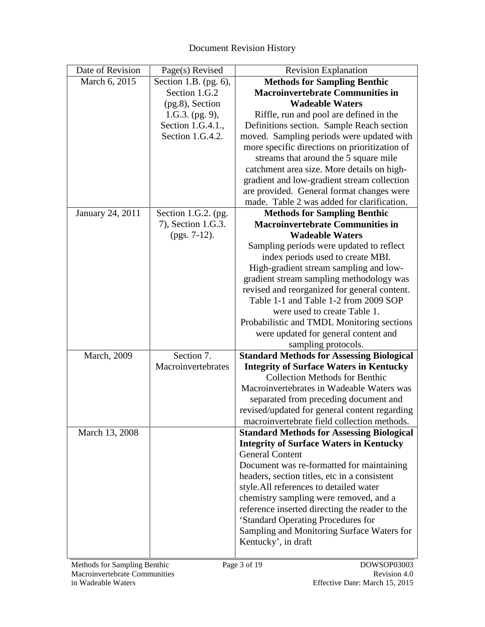| Date of Revision    | Page(s) Revised                           | <b>Revision Explanation</b>                                                                        |
|---------------------|-------------------------------------------|----------------------------------------------------------------------------------------------------|
| March 6, 2015       | Section 1.B. (pg. 6),                     | <b>Methods for Sampling Benthic</b>                                                                |
|                     | Section 1.G.2                             | <b>Macroinvertebrate Communities in</b>                                                            |
|                     | (pg.8), Section                           | <b>Wadeable Waters</b>                                                                             |
|                     | $1.G.3.$ (pg. 9),                         | Riffle, run and pool are defined in the                                                            |
|                     | Section 1.G.4.1.,                         | Definitions section. Sample Reach section                                                          |
|                     | Section 1.G.4.2.                          | moved. Sampling periods were updated with                                                          |
|                     |                                           | more specific directions on prioritization of                                                      |
|                     |                                           | streams that around the 5 square mile                                                              |
|                     |                                           | catchment area size. More details on high-                                                         |
|                     |                                           | gradient and low-gradient stream collection                                                        |
|                     |                                           | are provided. General format changes were                                                          |
|                     |                                           | made. Table 2 was added for clarification.                                                         |
| January 24, 2011    | Section 1.G.2. (pg.<br>7), Section 1.G.3. | <b>Methods for Sampling Benthic</b><br><b>Macroinvertebrate Communities in</b>                     |
|                     | $(pgs. 7-12).$                            | <b>Wadeable Waters</b>                                                                             |
|                     |                                           | Sampling periods were updated to reflect                                                           |
|                     |                                           | index periods used to create MBI.                                                                  |
|                     |                                           | High-gradient stream sampling and low-                                                             |
|                     |                                           | gradient stream sampling methodology was                                                           |
|                     |                                           | revised and reorganized for general content.                                                       |
|                     |                                           | Table 1-1 and Table 1-2 from 2009 SOP                                                              |
|                     |                                           | were used to create Table 1.                                                                       |
|                     |                                           | Probabilistic and TMDL Monitoring sections                                                         |
|                     |                                           | were updated for general content and                                                               |
|                     |                                           | sampling protocols.                                                                                |
| <b>March</b> , 2009 | Section 7.                                | <b>Standard Methods for Assessing Biological</b>                                                   |
|                     | Macroinvertebrates                        | <b>Integrity of Surface Waters in Kentucky</b>                                                     |
|                     |                                           | <b>Collection Methods for Benthic</b>                                                              |
|                     |                                           | Macroinvertebrates in Wadeable Waters was                                                          |
|                     |                                           | separated from preceding document and                                                              |
|                     |                                           | revised/updated for general content regarding<br>macroinvertebrate field collection methods.       |
|                     |                                           |                                                                                                    |
| March 13, 2008      |                                           | <b>Standard Methods for Assessing Biological</b><br><b>Integrity of Surface Waters in Kentucky</b> |
|                     |                                           | <b>General Content</b>                                                                             |
|                     |                                           | Document was re-formatted for maintaining                                                          |
|                     |                                           | headers, section titles, etc in a consistent                                                       |
|                     |                                           | style. All references to detailed water                                                            |
|                     |                                           | chemistry sampling were removed, and a                                                             |
|                     |                                           | reference inserted directing the reader to the                                                     |
|                     |                                           | 'Standard Operating Procedures for                                                                 |
|                     |                                           | Sampling and Monitoring Surface Waters for                                                         |
|                     |                                           | Kentucky', in draft                                                                                |
|                     |                                           |                                                                                                    |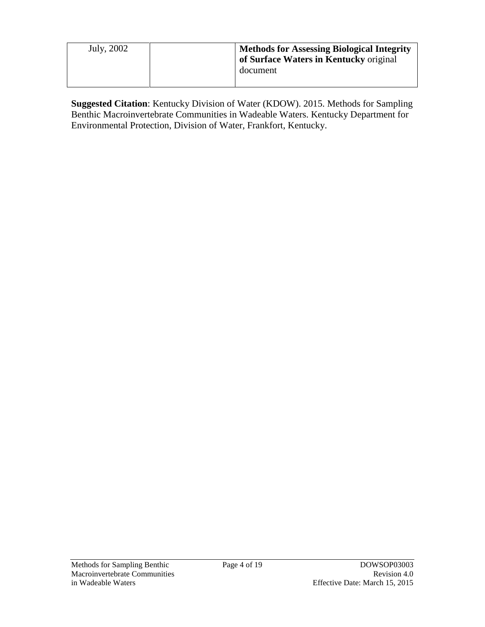| July, 2002 | <b>Methods for Assessing Biological Integrity</b> |
|------------|---------------------------------------------------|
|            | of Surface Waters in Kentucky original            |
|            | document                                          |
|            |                                                   |

**Suggested Citation**: Kentucky Division of Water (KDOW). 2015. Methods for Sampling Benthic Macroinvertebrate Communities in Wadeable Waters. Kentucky Department for Environmental Protection, Division of Water, Frankfort, Kentucky.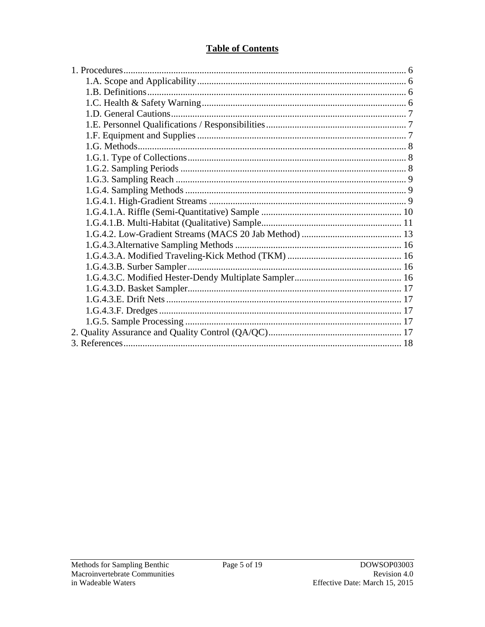#### **Table of Contents**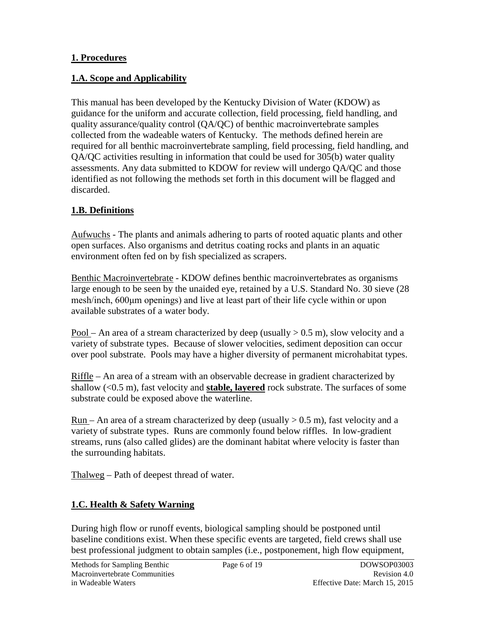## <span id="page-5-0"></span>**1. Procedures**

# <span id="page-5-1"></span>**1.A. Scope and Applicability**

This manual has been developed by the Kentucky Division of Water (KDOW) as guidance for the uniform and accurate collection, field processing, field handling, and quality assurance/quality control (QA/QC) of benthic macroinvertebrate samples collected from the wadeable waters of Kentucky. The methods defined herein are required for all benthic macroinvertebrate sampling, field processing, field handling, and QA/QC activities resulting in information that could be used for 305(b) water quality assessments. Any data submitted to KDOW for review will undergo QA/QC and those identified as not following the methods set forth in this document will be flagged and discarded.

# <span id="page-5-2"></span>**1.B. Definitions**

Aufwuchs - The plants and animals adhering to parts of rooted aquatic plants and other open surfaces. Also organisms and detritus coating rocks and plants in an aquatic environment often fed on by fish specialized as scrapers.

Benthic Macroinvertebrate - KDOW defines benthic macroinvertebrates as organisms large enough to be seen by the unaided eye, retained by a U.S. Standard No. 30 sieve (28 mesh/inch, 600μm openings) and live at least part of their life cycle within or upon available substrates of a water body.

Pool – An area of a stream characterized by deep (usually  $> 0.5$  m), slow velocity and a variety of substrate types. Because of slower velocities, sediment deposition can occur over pool substrate. Pools may have a higher diversity of permanent microhabitat types.

Riffle – An area of a stream with an observable decrease in gradient characterized by shallow (<0.5 m), fast velocity and **stable, layered** rock substrate. The surfaces of some substrate could be exposed above the waterline.

Run – An area of a stream characterized by deep (usually  $> 0.5$  m), fast velocity and a variety of substrate types. Runs are commonly found below riffles. In low-gradient streams, runs (also called glides) are the dominant habitat where velocity is faster than the surrounding habitats.

Thalweg – Path of deepest thread of water.

# <span id="page-5-3"></span>**1.C. Health & Safety Warning**

During high flow or runoff events, biological sampling should be postponed until baseline conditions exist. When these specific events are targeted, field crews shall use best professional judgment to obtain samples (i.e., postponement, high flow equipment,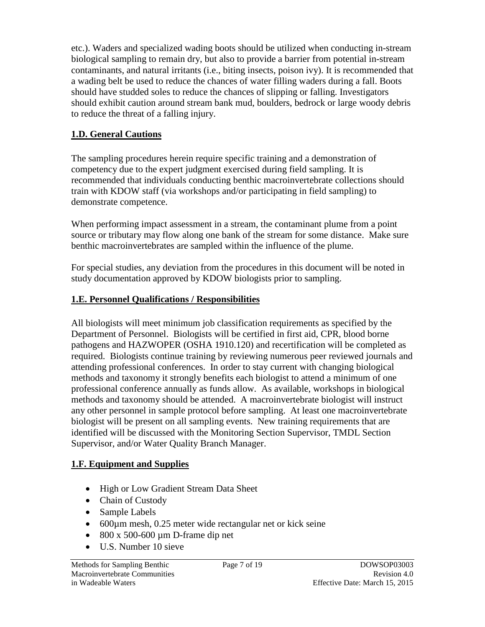etc.). Waders and specialized wading boots should be utilized when conducting in-stream biological sampling to remain dry, but also to provide a barrier from potential in-stream contaminants, and natural irritants (i.e., biting insects, poison ivy). It is recommended that a wading belt be used to reduce the chances of water filling waders during a fall. Boots should have studded soles to reduce the chances of slipping or falling. Investigators should exhibit caution around stream bank mud, boulders, bedrock or large woody debris to reduce the threat of a falling injury.

# <span id="page-6-0"></span>**1.D. General Cautions**

The sampling procedures herein require specific training and a demonstration of competency due to the expert judgment exercised during field sampling. It is recommended that individuals conducting benthic macroinvertebrate collections should train with KDOW staff (via workshops and/or participating in field sampling) to demonstrate competence.

When performing impact assessment in a stream, the contaminant plume from a point source or tributary may flow along one bank of the stream for some distance. Make sure benthic macroinvertebrates are sampled within the influence of the plume.

For special studies, any deviation from the procedures in this document will be noted in study documentation approved by KDOW biologists prior to sampling.

#### <span id="page-6-1"></span>**1.E. Personnel Qualifications / Responsibilities**

All biologists will meet minimum job classification requirements as specified by the Department of Personnel. Biologists will be certified in first aid, CPR, blood borne pathogens and HAZWOPER (OSHA 1910.120) and recertification will be completed as required. Biologists continue training by reviewing numerous peer reviewed journals and attending professional conferences. In order to stay current with changing biological methods and taxonomy it strongly benefits each biologist to attend a minimum of one professional conference annually as funds allow. As available, workshops in biological methods and taxonomy should be attended. A macroinvertebrate biologist will instruct any other personnel in sample protocol before sampling. At least one macroinvertebrate biologist will be present on all sampling events. New training requirements that are identified will be discussed with the Monitoring Section Supervisor, TMDL Section Supervisor, and/or Water Quality Branch Manager.

#### <span id="page-6-2"></span>**1.F. Equipment and Supplies**

- High or Low Gradient Stream Data Sheet
- Chain of Custody
- Sample Labels
- 600  $\mu$ m mesh, 0.25 meter wide rectangular net or kick seine
- 800 x 500-600  $\mu$ m D-frame dip net
- U.S. Number 10 sieve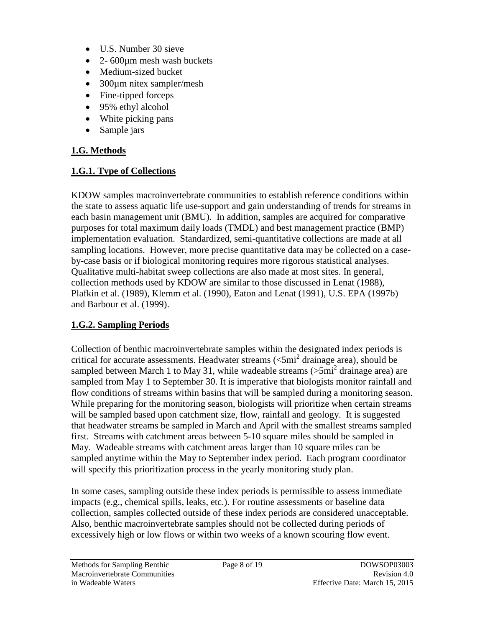- U.S. Number 30 sieve
- 2- 600µm mesh wash buckets
- Medium-sized bucket
- 300um nitex sampler/mesh
- Fine-tipped forceps
- 95% ethyl alcohol
- White picking pans
- Sample jars

# <span id="page-7-0"></span>**1.G. Methods**

# <span id="page-7-1"></span>**1.G.1. Type of Collections**

KDOW samples macroinvertebrate communities to establish reference conditions within the state to assess aquatic life use-support and gain understanding of trends for streams in each basin management unit (BMU). In addition, samples are acquired for comparative purposes for total maximum daily loads (TMDL) and best management practice (BMP) implementation evaluation. Standardized, semi-quantitative collections are made at all sampling locations. However, more precise quantitative data may be collected on a caseby-case basis or if biological monitoring requires more rigorous statistical analyses. Qualitative multi-habitat sweep collections are also made at most sites. In general, collection methods used by KDOW are similar to those discussed in Lenat (1988), Plafkin et al. (1989), Klemm et al. (1990), Eaton and Lenat (1991), U.S. EPA (1997b) and Barbour et al. (1999).

# <span id="page-7-2"></span>**1.G.2. Sampling Periods**

Collection of benthic macroinvertebrate samples within the designated index periods is critical for accurate assessments. Headwater streams (<5mi<sup>2</sup> drainage area), should be sampled between March 1 to May 31, while wadeable streams ( $>5mi^2$  drainage area) are sampled from May 1 to September 30. It is imperative that biologists monitor rainfall and flow conditions of streams within basins that will be sampled during a monitoring season. While preparing for the monitoring season, biologists will prioritize when certain streams will be sampled based upon catchment size, flow, rainfall and geology. It is suggested that headwater streams be sampled in March and April with the smallest streams sampled first. Streams with catchment areas between 5-10 square miles should be sampled in May. Wadeable streams with catchment areas larger than 10 square miles can be sampled anytime within the May to September index period. Each program coordinator will specify this prioritization process in the yearly monitoring study plan.

In some cases, sampling outside these index periods is permissible to assess immediate impacts (e.g., chemical spills, leaks, etc.). For routine assessments or baseline data collection, samples collected outside of these index periods are considered unacceptable. Also, benthic macroinvertebrate samples should not be collected during periods of excessively high or low flows or within two weeks of a known scouring flow event.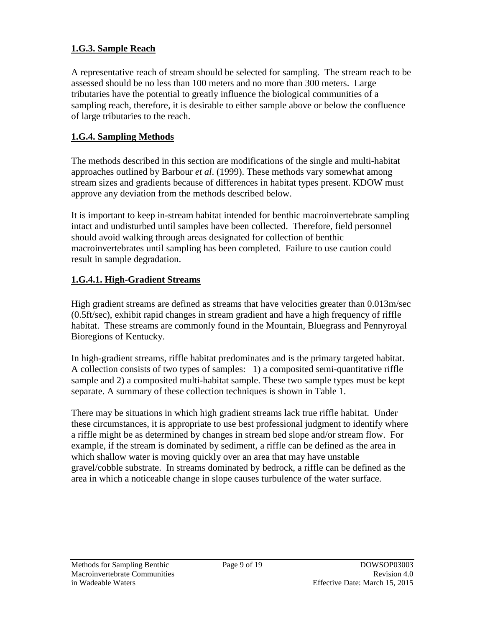#### <span id="page-8-0"></span>**1.G.3. Sample Reach**

A representative reach of stream should be selected for sampling. The stream reach to be assessed should be no less than 100 meters and no more than 300 meters. Large tributaries have the potential to greatly influence the biological communities of a sampling reach, therefore, it is desirable to either sample above or below the confluence of large tributaries to the reach.

## **1.G.4. Sampling Methods**

The methods described in this section are modifications of the single and multi-habitat approaches outlined by Barbour *et al*. (1999). These methods vary somewhat among stream sizes and gradients because of differences in habitat types present. KDOW must approve any deviation from the methods described below.

It is important to keep in-stream habitat intended for benthic macroinvertebrate sampling intact and undisturbed until samples have been collected. Therefore, field personnel should avoid walking through areas designated for collection of benthic macroinvertebrates until sampling has been completed. Failure to use caution could result in sample degradation.

## <span id="page-8-1"></span>**1.G.4.1. High-Gradient Streams**

High gradient streams are defined as streams that have velocities greater than 0.013m/sec (0.5ft/sec), exhibit rapid changes in stream gradient and have a high frequency of riffle habitat. These streams are commonly found in the Mountain, Bluegrass and Pennyroyal Bioregions of Kentucky.

In high-gradient streams, riffle habitat predominates and is the primary targeted habitat. A collection consists of two types of samples: 1) a composited semi-quantitative riffle sample and 2) a composited multi-habitat sample. These two sample types must be kept separate. A summary of these collection techniques is shown in Table 1.

There may be situations in which high gradient streams lack true riffle habitat. Under these circumstances, it is appropriate to use best professional judgment to identify where a riffle might be as determined by changes in stream bed slope and/or stream flow. For example, if the stream is dominated by sediment, a riffle can be defined as the area in which shallow water is moving quickly over an area that may have unstable gravel/cobble substrate. In streams dominated by bedrock, a riffle can be defined as the area in which a noticeable change in slope causes turbulence of the water surface.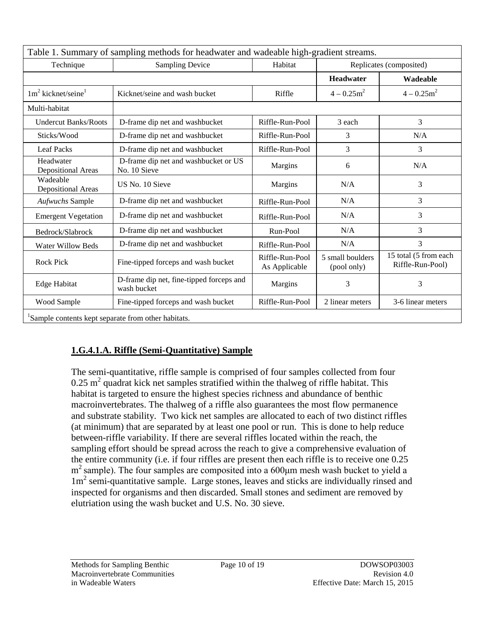|                                        | Table 1. Summary of sampling methods for headwater and wadeable high-gradient streams. |                                  |                                 |                                           |
|----------------------------------------|----------------------------------------------------------------------------------------|----------------------------------|---------------------------------|-------------------------------------------|
| Technique                              | <b>Sampling Device</b>                                                                 | Habitat                          | Replicates (composited)         |                                           |
|                                        |                                                                                        |                                  | <b>Headwater</b>                | Wadeable                                  |
| $1m2$ kicknet/seine <sup>1</sup>       | Kicknet/seine and wash bucket                                                          | Riffle                           | $4 - 0.25$ m <sup>2</sup>       | $4 - 0.25$ m <sup>2</sup>                 |
| Multi-habitat                          |                                                                                        |                                  |                                 |                                           |
| <b>Undercut Banks/Roots</b>            | D-frame dip net and washbucket                                                         | Riffle-Run-Pool                  | 3 each                          | 3                                         |
| Sticks/Wood                            | D-frame dip net and washbucket                                                         | Riffle-Run-Pool                  | 3                               | N/A                                       |
| <b>Leaf Packs</b>                      | D-frame dip net and washbucket                                                         | Riffle-Run-Pool                  | 3                               | 3                                         |
| Headwater<br><b>Depositional Areas</b> | D-frame dip net and washbucket or US<br>No. 10 Sieve                                   | <b>Margins</b>                   | 6                               | N/A                                       |
| Wadeable<br><b>Depositional Areas</b>  | US No. 10 Sieve                                                                        | Margins                          | N/A                             | 3                                         |
| Aufwuchs Sample                        | D-frame dip net and washbucket                                                         | Riffle-Run-Pool                  | N/A                             | 3                                         |
| <b>Emergent Vegetation</b>             | D-frame dip net and washbucket                                                         | Riffle-Run-Pool                  | N/A                             | 3                                         |
| Bedrock/Slabrock                       | D-frame dip net and washbucket                                                         | Run-Pool                         | N/A                             | 3                                         |
| <b>Water Willow Beds</b>               | D-frame dip net and washbucket                                                         | Riffle-Run-Pool                  | N/A                             | 3                                         |
| <b>Rock Pick</b>                       | Fine-tipped forceps and wash bucket                                                    | Riffle-Run-Pool<br>As Applicable | 5 small boulders<br>(pool only) | 15 total (5 from each<br>Riffle-Run-Pool) |
| <b>Edge Habitat</b>                    | D-frame dip net, fine-tipped forceps and<br>wash bucket                                | Margins                          | 3                               | 3                                         |
| Wood Sample                            | Fine-tipped forceps and wash bucket                                                    | Riffle-Run-Pool                  | 2 linear meters                 | 3-6 linear meters                         |

## Sample contents kept separate from other habitats.

#### **1.G.4.1.A. Riffle (Semi-Quantitative) Sample**

The semi-quantitative, riffle sample is comprised of four samples collected from four 0.25 m<sup>2</sup> quadrat kick net samples stratified within the thalweg of riffle habitat. This habitat is targeted to ensure the highest species richness and abundance of benthic macroinvertebrates. The thalweg of a riffle also guarantees the most flow permanence and substrate stability. Two kick net samples are allocated to each of two distinct riffles (at minimum) that are separated by at least one pool or run. This is done to help reduce between-riffle variability. If there are several riffles located within the reach, the sampling effort should be spread across the reach to give a comprehensive evaluation of the entire community (i.e. if four riffles are present then each riffle is to receive one 0.25 m<sup>2</sup> sample). The four samples are composited into a 600μm mesh wash bucket to yield a  $1m<sup>2</sup>$  semi-quantitative sample. Large stones, leaves and sticks are individually rinsed and inspected for organisms and then discarded. Small stones and sediment are removed by elutriation using the wash bucket and U.S. No. 30 sieve.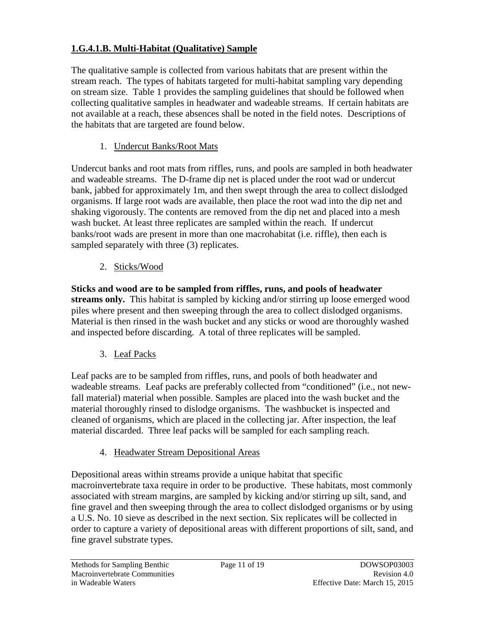# **1.G.4.1.B. Multi-Habitat (Qualitative) Sample**

The qualitative sample is collected from various habitats that are present within the stream reach. The types of habitats targeted for multi-habitat sampling vary depending on stream size. Table 1 provides the sampling guidelines that should be followed when collecting qualitative samples in headwater and wadeable streams. If certain habitats are not available at a reach, these absences shall be noted in the field notes. Descriptions of the habitats that are targeted are found below.

# 1. Undercut Banks/Root Mats

Undercut banks and root mats from riffles, runs, and pools are sampled in both headwater and wadeable streams. The D-frame dip net is placed under the root wad or undercut bank, jabbed for approximately 1m, and then swept through the area to collect dislodged organisms. If large root wads are available, then place the root wad into the dip net and shaking vigorously. The contents are removed from the dip net and placed into a mesh wash bucket. At least three replicates are sampled within the reach. If undercut banks/root wads are present in more than one macrohabitat (i.e. riffle), then each is sampled separately with three (3) replicates.

# 2. Sticks/Wood

**Sticks and wood are to be sampled from riffles, runs, and pools of headwater streams only.** This habitat is sampled by kicking and/or stirring up loose emerged wood piles where present and then sweeping through the area to collect dislodged organisms. Material is then rinsed in the wash bucket and any sticks or wood are thoroughly washed and inspected before discarding. A total of three replicates will be sampled.

# 3. Leaf Packs

Leaf packs are to be sampled from riffles, runs, and pools of both headwater and wadeable streams. Leaf packs are preferably collected from "conditioned" (i.e., not newfall material) material when possible. Samples are placed into the wash bucket and the material thoroughly rinsed to dislodge organisms. The washbucket is inspected and cleaned of organisms, which are placed in the collecting jar. After inspection, the leaf material discarded. Three leaf packs will be sampled for each sampling reach.

# 4. Headwater Stream Depositional Areas

Depositional areas within streams provide a unique habitat that specific macroinvertebrate taxa require in order to be productive. These habitats, most commonly associated with stream margins, are sampled by kicking and/or stirring up silt, sand, and fine gravel and then sweeping through the area to collect dislodged organisms or by using a U.S. No. 10 sieve as described in the next section. Six replicates will be collected in order to capture a variety of depositional areas with different proportions of silt, sand, and fine gravel substrate types.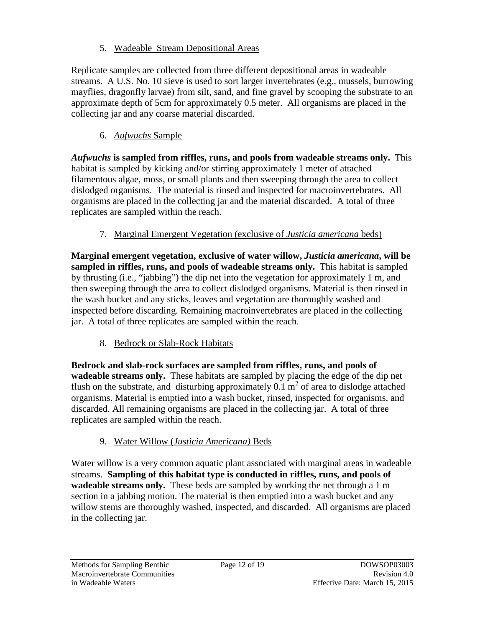## 5. Wadeable Stream Depositional Areas

Replicate samples are collected from three different depositional areas in wadeable streams. A U.S. No. 10 sieve is used to sort larger invertebrates (e.g., mussels, burrowing mayflies, dragonfly larvae) from silt, sand, and fine gravel by scooping the substrate to an approximate depth of 5cm for approximately 0.5 meter. All organisms are placed in the collecting jar and any coarse material discarded.

# 6. *Aufwuchs* Sample

*Aufwuchs* **is sampled from riffles, runs, and pools from wadeable streams only.** This habitat is sampled by kicking and/or stirring approximately 1 meter of attached filamentous algae, moss, or small plants and then sweeping through the area to collect dislodged organisms. The material is rinsed and inspected for macroinvertebrates. All organisms are placed in the collecting jar and the material discarded. A total of three replicates are sampled within the reach.

7. Marginal Emergent Vegetation (exclusive of *Justicia americana* beds)

**Marginal emergent vegetation, exclusive of water willow,** *Justicia americana***, will be sampled in riffles, runs, and pools of wadeable streams only.** This habitat is sampled by thrusting (i.e., "jabbing") the dip net into the vegetation for approximately 1 m, and then sweeping through the area to collect dislodged organisms. Material is then rinsed in the wash bucket and any sticks, leaves and vegetation are thoroughly washed and inspected before discarding. Remaining macroinvertebrates are placed in the collecting jar. A total of three replicates are sampled within the reach.

8. Bedrock or Slab-Rock Habitats

**Bedrock and slab-rock surfaces are sampled from riffles, runs, and pools of wadeable streams only.** These habitats are sampled by placing the edge of the dip net flush on the substrate, and disturbing approximately 0.1  $m<sup>2</sup>$  of area to dislodge attached organisms. Material is emptied into a wash bucket, rinsed, inspected for organisms, and discarded. All remaining organisms are placed in the collecting jar. A total of three replicates are sampled within the reach.

# 9. Water Willow (*Justicia Americana)* Beds

Water willow is a very common aquatic plant associated with marginal areas in wadeable streams. **Sampling of this habitat type is conducted in riffles, runs, and pools of wadeable streams only.** These beds are sampled by working the net through a 1 m section in a jabbing motion. The material is then emptied into a wash bucket and any willow stems are thoroughly washed, inspected, and discarded.All organisms are placed in the collecting jar.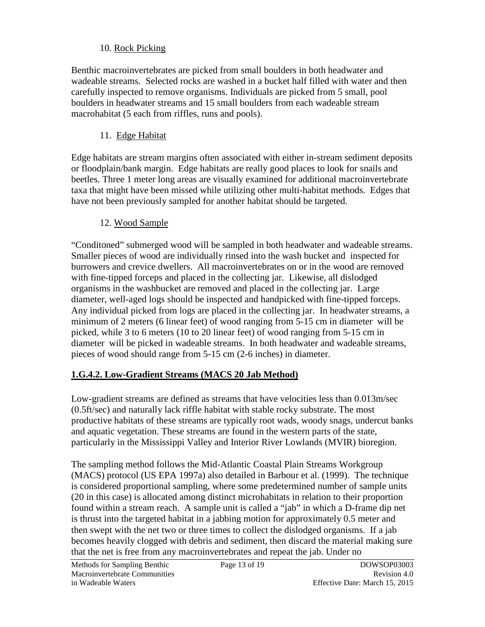#### 10. Rock Picking

Benthic macroinvertebrates are picked from small boulders in both headwater and wadeable streams. Selected rocks are washed in a bucket half filled with water and then carefully inspected to remove organisms. Individuals are picked from 5 small, pool boulders in headwater streams and 15 small boulders from each wadeable stream macrohabitat (5 each from riffles, runs and pools).

## 11. Edge Habitat

Edge habitats are stream margins often associated with either in-stream sediment deposits or floodplain/bank margin. Edge habitats are really good places to look for snails and beetles. Three 1 meter long areas are visually examined for additional macroinvertebrate taxa that might have been missed while utilizing other multi-habitat methods. Edges that have not been previously sampled for another habitat should be targeted.

## 12. Wood Sample

"Conditoned" submerged wood will be sampled in both headwater and wadeable streams. Smaller pieces of wood are individually rinsed into the wash bucket and inspected for burrowers and crevice dwellers. All macroinvertebrates on or in the wood are removed with fine-tipped forceps and placed in the collecting jar. Likewise, all dislodged organisms in the washbucket are removed and placed in the collecting jar. Large diameter, well-aged logs should be inspected and handpicked with fine-tipped forceps. Any individual picked from logs are placed in the collecting jar. In headwater streams, a minimum of 2 meters (6 linear feet) of wood ranging from 5-15 cm in diameter will be picked, while 3 to 6 meters (10 to 20 linear feet) of wood ranging from 5-15 cm in diameter will be picked in wadeable streams. In both headwater and wadeable streams, pieces of wood should range from 5-15 cm (2-6 inches) in diameter.

# <span id="page-12-0"></span>**1.G.4.2. Low-Gradient Streams (MACS 20 Jab Method)**

Low-gradient streams are defined as streams that have velocities less than 0.013m/sec (0.5ft/sec) and naturally lack riffle habitat with stable rocky substrate. The most productive habitats of these streams are typically root wads, woody snags, undercut banks and aquatic vegetation. These streams are found in the western parts of the state, particularly in the Mississippi Valley and Interior River Lowlands (MVIR) bioregion.

The sampling method follows the Mid-Atlantic Coastal Plain Streams Workgroup (MACS) protocol (US EPA 1997a) also detailed in Barbour et al. (1999). The technique is considered proportional sampling, where some predetermined number of sample units (20 in this case) is allocated among distinct microhabitats in relation to their proportion found within a stream reach. A sample unit is called a "jab" in which a D-frame dip net is thrust into the targeted habitat in a jabbing motion for approximately 0.5 meter and then swept with the net two or three times to collect the dislodged organisms. If a jab becomes heavily clogged with debris and sediment, then discard the material making sure that the net is free from any macroinvertebrates and repeat the jab. Under no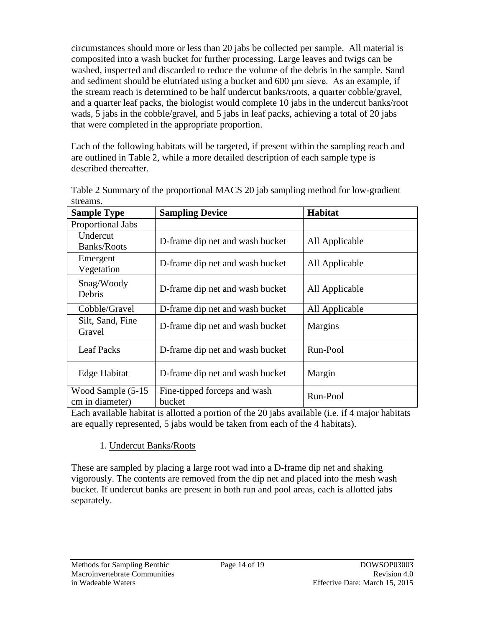circumstances should more or less than 20 jabs be collected per sample. All material is composited into a wash bucket for further processing. Large leaves and twigs can be washed, inspected and discarded to reduce the volume of the debris in the sample. Sand and sediment should be elutriated using a bucket and 600 μm sieve. As an example, if the stream reach is determined to be half undercut banks/roots, a quarter cobble/gravel, and a quarter leaf packs, the biologist would complete 10 jabs in the undercut banks/root wads, 5 jabs in the cobble/gravel, and 5 jabs in leaf packs, achieving a total of 20 jabs that were completed in the appropriate proportion.

Each of the following habitats will be targeted, if present within the sampling reach and are outlined in Table 2, while a more detailed description of each sample type is described thereafter.

| <b>Sample Type</b>                    | <b>Sampling Device</b>                 | Habitat        |
|---------------------------------------|----------------------------------------|----------------|
| Proportional Jabs                     |                                        |                |
| Undercut<br><b>Banks/Roots</b>        | D-frame dip net and wash bucket        | All Applicable |
| Emergent<br>Vegetation                | D-frame dip net and wash bucket        | All Applicable |
| Snag/Woody<br>Debris                  | D-frame dip net and wash bucket        | All Applicable |
| Cobble/Gravel                         | D-frame dip net and wash bucket        | All Applicable |
| Silt, Sand, Fine<br>Gravel            | D-frame dip net and wash bucket        | <b>Margins</b> |
| <b>Leaf Packs</b>                     | D-frame dip net and wash bucket        | Run-Pool       |
| Edge Habitat                          | D-frame dip net and wash bucket        | Margin         |
| Wood Sample (5-15)<br>cm in diameter) | Fine-tipped forceps and wash<br>bucket | Run-Pool       |

Table 2 Summary of the proportional MACS 20 jab sampling method for low-gradient streams.

Each available habitat is allotted a portion of the 20 jabs available (i.e. if 4 major habitats are equally represented, 5 jabs would be taken from each of the 4 habitats).

#### 1. Undercut Banks/Roots

These are sampled by placing a large root wad into a D-frame dip net and shaking vigorously. The contents are removed from the dip net and placed into the mesh wash bucket. If undercut banks are present in both run and pool areas, each is allotted jabs separately.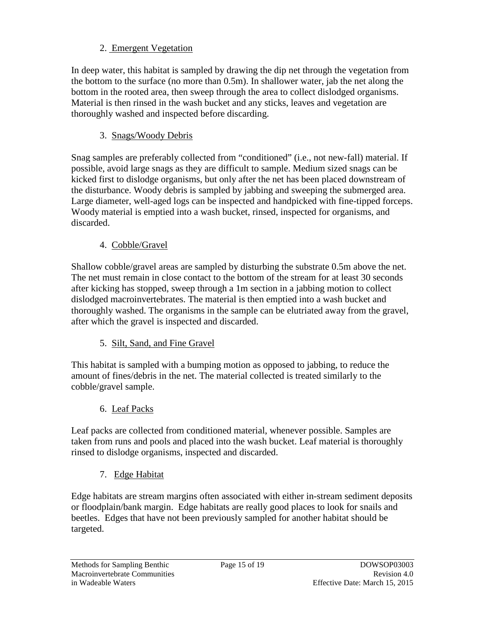# 2. Emergent Vegetation

In deep water, this habitat is sampled by drawing the dip net through the vegetation from the bottom to the surface (no more than 0.5m). In shallower water, jab the net along the bottom in the rooted area, then sweep through the area to collect dislodged organisms. Material is then rinsed in the wash bucket and any sticks, leaves and vegetation are thoroughly washed and inspected before discarding.

# 3. Snags/Woody Debris

Snag samples are preferably collected from "conditioned" (i.e., not new-fall) material. If possible, avoid large snags as they are difficult to sample. Medium sized snags can be kicked first to dislodge organisms, but only after the net has been placed downstream of the disturbance. Woody debris is sampled by jabbing and sweeping the submerged area. Large diameter, well-aged logs can be inspected and handpicked with fine-tipped forceps. Woody material is emptied into a wash bucket, rinsed, inspected for organisms, and discarded.

# 4. Cobble/Gravel

Shallow cobble/gravel areas are sampled by disturbing the substrate 0.5m above the net. The net must remain in close contact to the bottom of the stream for at least 30 seconds after kicking has stopped, sweep through a 1m section in a jabbing motion to collect dislodged macroinvertebrates. The material is then emptied into a wash bucket and thoroughly washed. The organisms in the sample can be elutriated away from the gravel, after which the gravel is inspected and discarded.

# 5. Silt, Sand, and Fine Gravel

This habitat is sampled with a bumping motion as opposed to jabbing, to reduce the amount of fines/debris in the net. The material collected is treated similarly to the cobble/gravel sample.

# 6. Leaf Packs

Leaf packs are collected from conditioned material, whenever possible. Samples are taken from runs and pools and placed into the wash bucket. Leaf material is thoroughly rinsed to dislodge organisms, inspected and discarded.

# 7. Edge Habitat

Edge habitats are stream margins often associated with either in-stream sediment deposits or floodplain/bank margin. Edge habitats are really good places to look for snails and beetles. Edges that have not been previously sampled for another habitat should be targeted.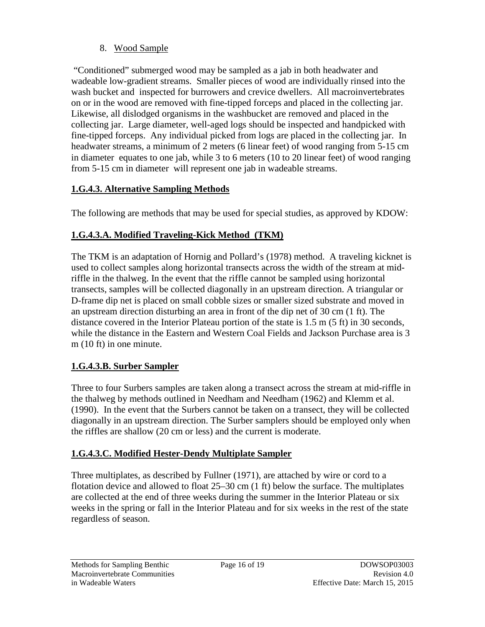## 8. Wood Sample

"Conditioned" submerged wood may be sampled as a jab in both headwater and wadeable low-gradient streams. Smaller pieces of wood are individually rinsed into the wash bucket and inspected for burrowers and crevice dwellers. All macroinvertebrates on or in the wood are removed with fine-tipped forceps and placed in the collecting jar. Likewise, all dislodged organisms in the washbucket are removed and placed in the collecting jar. Large diameter, well-aged logs should be inspected and handpicked with fine-tipped forceps. Any individual picked from logs are placed in the collecting jar. In headwater streams, a minimum of 2 meters (6 linear feet) of wood ranging from 5-15 cm in diameter equates to one jab, while 3 to 6 meters (10 to 20 linear feet) of wood ranging from 5-15 cm in diameter will represent one jab in wadeable streams.

# **1.G.4.3. Alternative Sampling Methods**

The following are methods that may be used for special studies, as approved by KDOW:

# **1.G.4.3.A. Modified Traveling-Kick Method (TKM)**

The TKM is an adaptation of Hornig and Pollard's (1978) method. A traveling kicknet is used to collect samples along horizontal transects across the width of the stream at midriffle in the thalweg. In the event that the riffle cannot be sampled using horizontal transects, samples will be collected diagonally in an upstream direction. A triangular or D-frame dip net is placed on small cobble sizes or smaller sized substrate and moved in an upstream direction disturbing an area in front of the dip net of 30 cm (1 ft). The distance covered in the Interior Plateau portion of the state is 1.5 m (5 ft) in 30 seconds, while the distance in the Eastern and Western Coal Fields and Jackson Purchase area is 3 m (10 ft) in one minute.

# **1.G.4.3.B. Surber Sampler**

Three to four Surbers samples are taken along a transect across the stream at mid-riffle in the thalweg by methods outlined in Needham and Needham (1962) and Klemm et al. (1990). In the event that the Surbers cannot be taken on a transect, they will be collected diagonally in an upstream direction. The Surber samplers should be employed only when the riffles are shallow (20 cm or less) and the current is moderate.

# **1.G.4.3.C. Modified Hester-Dendy Multiplate Sampler**

Three multiplates, as described by Fullner (1971), are attached by wire or cord to a flotation device and allowed to float 25–30 cm (1 ft) below the surface. The multiplates are collected at the end of three weeks during the summer in the Interior Plateau or six weeks in the spring or fall in the Interior Plateau and for six weeks in the rest of the state regardless of season.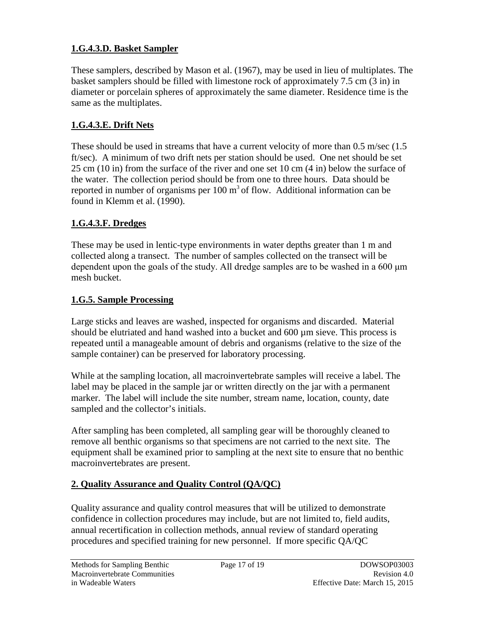#### **1.G.4.3.D. Basket Sampler**

These samplers, described by Mason et al. (1967), may be used in lieu of multiplates. The basket samplers should be filled with limestone rock of approximately 7.5 cm (3 in) in diameter or porcelain spheres of approximately the same diameter. Residence time is the same as the multiplates.

## **1.G.4.3.E. Drift Nets**

These should be used in streams that have a current velocity of more than 0.5 m/sec (1.5) ft/sec). A minimum of two drift nets per station should be used. One net should be set 25 cm (10 in) from the surface of the river and one set 10 cm (4 in) below the surface of the water. The collection period should be from one to three hours. Data should be reported in number of organisms per  $100 \text{ m}^3$  of flow. Additional information can be found in Klemm et al. (1990).

## **1.G.4.3.F. Dredges**

These may be used in lentic-type environments in water depths greater than 1 m and collected along a transect. The number of samples collected on the transect will be dependent upon the goals of the study. All dredge samples are to be washed in a 600 μm mesh bucket.

## <span id="page-16-0"></span>**1.G.5. Sample Processing**

Large sticks and leaves are washed, inspected for organisms and discarded. Material should be elutriated and hand washed into a bucket and 600 um sieve. This process is repeated until a manageable amount of debris and organisms (relative to the size of the sample container) can be preserved for laboratory processing.

While at the sampling location, all macroinvertebrate samples will receive a label. The label may be placed in the sample jar or written directly on the jar with a permanent marker. The label will include the site number, stream name, location, county, date sampled and the collector's initials.

After sampling has been completed, all sampling gear will be thoroughly cleaned to remove all benthic organisms so that specimens are not carried to the next site. The equipment shall be examined prior to sampling at the next site to ensure that no benthic macroinvertebrates are present.

# <span id="page-16-1"></span>**2. Quality Assurance and Quality Control (QA/QC)**

Quality assurance and quality control measures that will be utilized to demonstrate confidence in collection procedures may include, but are not limited to, field audits, annual recertification in collection methods, annual review of standard operating procedures and specified training for new personnel. If more specific QA/QC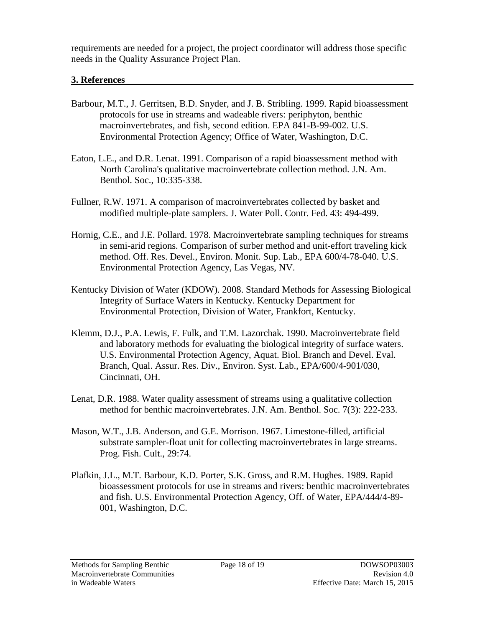requirements are needed for a project, the project coordinator will address those specific needs in the Quality Assurance Project Plan.

## <span id="page-17-0"></span>**3. References**

- Barbour, M.T., J. Gerritsen, B.D. Snyder, and J. B. Stribling. 1999. Rapid bioassessment protocols for use in streams and wadeable rivers: periphyton, benthic macroinvertebrates, and fish, second edition. EPA 841-B-99-002. U.S. Environmental Protection Agency; Office of Water, Washington, D.C.
- Eaton, L.E., and D.R. Lenat. 1991. Comparison of a rapid bioassessment method with North Carolina's qualitative macroinvertebrate collection method. J.N. Am. Benthol. Soc., 10:335-338.
- Fullner, R.W. 1971. A comparison of macroinvertebrates collected by basket and modified multiple-plate samplers. J. Water Poll. Contr. Fed. 43: 494-499.
- Hornig, C.E., and J.E. Pollard. 1978. Macroinvertebrate sampling techniques for streams in semi-arid regions. Comparison of surber method and unit-effort traveling kick method. Off. Res. Devel., Environ. Monit. Sup. Lab., EPA 600/4-78-040. U.S. Environmental Protection Agency, Las Vegas, NV.
- Kentucky Division of Water (KDOW). 2008. Standard Methods for Assessing Biological Integrity of Surface Waters in Kentucky. Kentucky Department for Environmental Protection, Division of Water, Frankfort, Kentucky.
- Klemm, D.J., P.A. Lewis, F. Fulk, and T.M. Lazorchak. 1990. Macroinvertebrate field and laboratory methods for evaluating the biological integrity of surface waters. U.S. Environmental Protection Agency, Aquat. Biol. Branch and Devel. Eval. Branch, Qual. Assur. Res. Div., Environ. Syst. Lab., EPA/600/4-901/030, Cincinnati, OH.
- Lenat, D.R. 1988. Water quality assessment of streams using a qualitative collection method for benthic macroinvertebrates. J.N. Am. Benthol. Soc. 7(3): 222-233.
- Mason, W.T., J.B. Anderson, and G.E. Morrison. 1967. Limestone-filled, artificial substrate sampler-float unit for collecting macroinvertebrates in large streams. Prog. Fish. Cult., 29:74.
- Plafkin, J.L., M.T. Barbour, K.D. Porter, S.K. Gross, and R.M. Hughes. 1989. Rapid bioassessment protocols for use in streams and rivers: benthic macroinvertebrates and fish. U.S. Environmental Protection Agency, Off. of Water, EPA/444/4-89- 001, Washington, D.C.